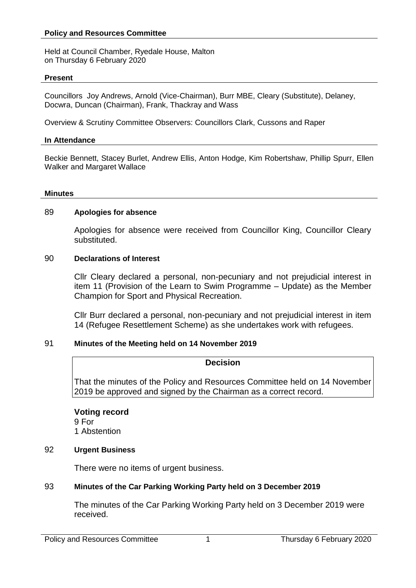#### **Policy and Resources Committee**

Held at Council Chamber, Ryedale House, Malton on Thursday 6 February 2020

#### **Present**

Councillors Joy Andrews, Arnold (Vice-Chairman), Burr MBE, Cleary (Substitute), Delaney, Docwra, Duncan (Chairman), Frank, Thackray and Wass

Overview & Scrutiny Committee Observers: Councillors Clark, Cussons and Raper

#### **In Attendance**

Beckie Bennett, Stacey Burlet, Andrew Ellis, Anton Hodge, Kim Robertshaw, Phillip Spurr, Ellen Walker and Margaret Wallace

#### **Minutes**

#### 89 **Apologies for absence**

Apologies for absence were received from Councillor King, Councillor Cleary substituted.

#### 90 **Declarations of Interest**

Cllr Cleary declared a personal, non-pecuniary and not prejudicial interest in item 11 (Provision of the Learn to Swim Programme – Update) as the Member Champion for Sport and Physical Recreation.

Cllr Burr declared a personal, non-pecuniary and not prejudicial interest in item 14 (Refugee Resettlement Scheme) as she undertakes work with refugees.

## 91 **Minutes of the Meeting held on 14 November 2019**

## **Decision**

That the minutes of the Policy and Resources Committee held on 14 November 2019 be approved and signed by the Chairman as a correct record.

# **Voting record**

9 For 1 Abstention

## 92 **Urgent Business**

There were no items of urgent business.

## 93 **Minutes of the Car Parking Working Party held on 3 December 2019**

The minutes of the Car Parking Working Party held on 3 December 2019 were received.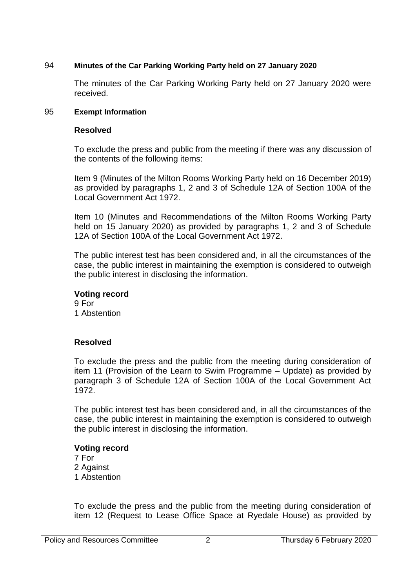## 94 **Minutes of the Car Parking Working Party held on 27 January 2020**

The minutes of the Car Parking Working Party held on 27 January 2020 were received.

## 95 **Exempt Information**

## **Resolved**

To exclude the press and public from the meeting if there was any discussion of the contents of the following items:

Item 9 (Minutes of the Milton Rooms Working Party held on 16 December 2019) as provided by paragraphs 1, 2 and 3 of Schedule 12A of Section 100A of the Local Government Act 1972.

Item 10 (Minutes and Recommendations of the Milton Rooms Working Party held on 15 January 2020) as provided by paragraphs 1, 2 and 3 of Schedule 12A of Section 100A of the Local Government Act 1972.

The public interest test has been considered and, in all the circumstances of the case, the public interest in maintaining the exemption is considered to outweigh the public interest in disclosing the information.

## **Voting record**

9 For 1 Abstention

# **Resolved**

To exclude the press and the public from the meeting during consideration of item 11 (Provision of the Learn to Swim Programme – Update) as provided by paragraph 3 of Schedule 12A of Section 100A of the Local Government Act 1972.

The public interest test has been considered and, in all the circumstances of the case, the public interest in maintaining the exemption is considered to outweigh the public interest in disclosing the information.

## **Voting record**

7 For 2 Against 1 Abstention

To exclude the press and the public from the meeting during consideration of item 12 (Request to Lease Office Space at Ryedale House) as provided by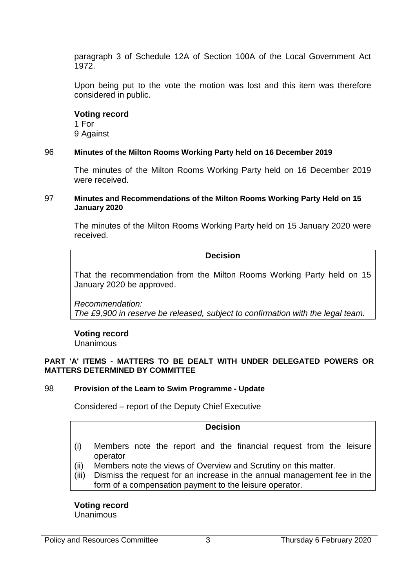paragraph 3 of Schedule 12A of Section 100A of the Local Government Act 1972.

Upon being put to the vote the motion was lost and this item was therefore considered in public.

## **Voting record**

1 For 9 Against

## 96 **Minutes of the Milton Rooms Working Party held on 16 December 2019**

The minutes of the Milton Rooms Working Party held on 16 December 2019 were received.

#### 97 **Minutes and Recommendations of the Milton Rooms Working Party Held on 15 January 2020**

The minutes of the Milton Rooms Working Party held on 15 January 2020 were received.

#### **Decision**

That the recommendation from the Milton Rooms Working Party held on 15 January 2020 be approved.

*Recommendation: The £9,900 in reserve be released, subject to confirmation with the legal team.*

# **Voting record**

Unanimous

#### **PART 'A' ITEMS - MATTERS TO BE DEALT WITH UNDER DELEGATED POWERS OR MATTERS DETERMINED BY COMMITTEE**

## 98 **Provision of the Learn to Swim Programme - Update**

Considered – report of the Deputy Chief Executive

## **Decision**

- (i) Members note the report and the financial request from the leisure operator
- (ii) Members note the views of Overview and Scrutiny on this matter.
- (iii) Dismiss the request for an increase in the annual management fee in the form of a compensation payment to the leisure operator.

**Voting record** Unanimous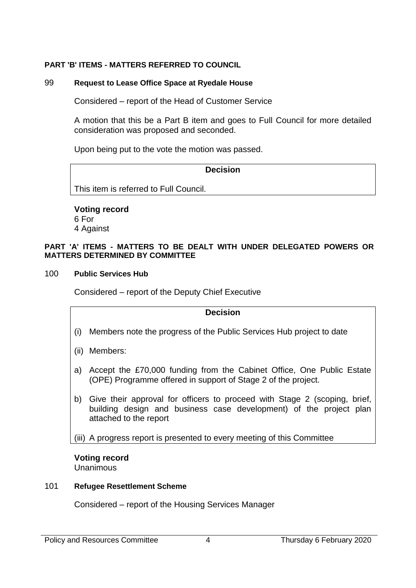## **PART 'B' ITEMS - MATTERS REFERRED TO COUNCIL**

## 99 **Request to Lease Office Space at Ryedale House**

Considered – report of the Head of Customer Service

A motion that this be a Part B item and goes to Full Council for more detailed consideration was proposed and seconded.

Upon being put to the vote the motion was passed.

## **Decision**

This item is referred to Full Council.

## **Voting record** 6 For

4 Against

#### **PART 'A' ITEMS - MATTERS TO BE DEALT WITH UNDER DELEGATED POWERS OR MATTERS DETERMINED BY COMMITTEE**

## 100 **Public Services Hub**

Considered – report of the Deputy Chief Executive

## **Decision**

- (i) Members note the progress of the Public Services Hub project to date
- (ii) Members:
- a) Accept the £70,000 funding from the Cabinet Office, One Public Estate (OPE) Programme offered in support of Stage 2 of the project.
- b) Give their approval for officers to proceed with Stage 2 (scoping, brief, building design and business case development) of the project plan attached to the report

(iii) A progress report is presented to every meeting of this Committee

# **Voting record**

Unanimous

## 101 **Refugee Resettlement Scheme**

Considered – report of the Housing Services Manager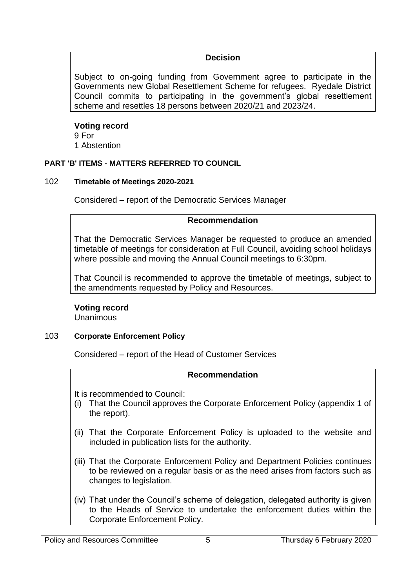# **Decision**

Subject to on-going funding from Government agree to participate in the Governments new Global Resettlement Scheme for refugees. Ryedale District Council commits to participating in the government's global resettlement scheme and resettles 18 persons between 2020/21 and 2023/24.

# **Voting record**

9 For 1 Abstention

# **PART 'B' ITEMS - MATTERS REFERRED TO COUNCIL**

# 102 **Timetable of Meetings 2020-2021**

Considered – report of the Democratic Services Manager

# **Recommendation**

That the Democratic Services Manager be requested to produce an amended timetable of meetings for consideration at Full Council, avoiding school holidays where possible and moving the Annual Council meetings to 6:30pm.

That Council is recommended to approve the timetable of meetings, subject to the amendments requested by Policy and Resources.

# **Voting record**

Unanimous

# 103 **Corporate Enforcement Policy**

Considered – report of the Head of Customer Services

# **Recommendation**

It is recommended to Council:

- (i) That the Council approves the Corporate Enforcement Policy (appendix 1 of the report).
- (ii) That the Corporate Enforcement Policy is uploaded to the website and included in publication lists for the authority.
- (iii) That the Corporate Enforcement Policy and Department Policies continues to be reviewed on a regular basis or as the need arises from factors such as changes to legislation.
- (iv) That under the Council's scheme of delegation, delegated authority is given to the Heads of Service to undertake the enforcement duties within the Corporate Enforcement Policy.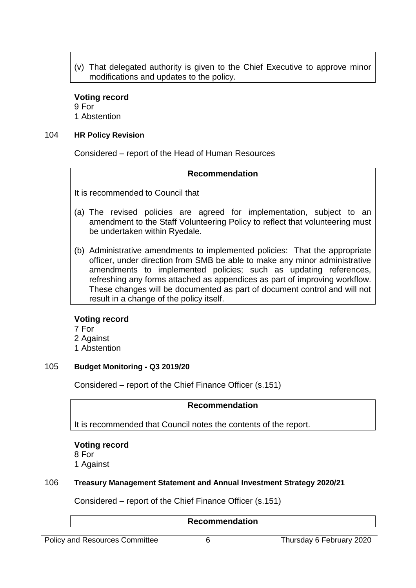(v) That delegated authority is given to the Chief Executive to approve minor modifications and updates to the policy.

## **Voting record**

9 For 1 Abstention

#### 104 **HR Policy Revision**

Considered – report of the Head of Human Resources

## **Recommendation**

It is recommended to Council that

- (a) The revised policies are agreed for implementation, subject to an amendment to the Staff Volunteering Policy to reflect that volunteering must be undertaken within Ryedale.
- (b) Administrative amendments to implemented policies: That the appropriate officer, under direction from SMB be able to make any minor administrative amendments to implemented policies; such as updating references, refreshing any forms attached as appendices as part of improving workflow. These changes will be documented as part of document control and will not result in a change of the policy itself.

## **Voting record**

- 7 For
- 2 Against
- 1 Abstention

## 105 **Budget Monitoring - Q3 2019/20**

Considered – report of the Chief Finance Officer (s.151)

## **Recommendation**

It is recommended that Council notes the contents of the report.

## **Voting record**

8 For

1 Against

## 106 **Treasury Management Statement and Annual Investment Strategy 2020/21**

Considered – report of the Chief Finance Officer (s.151)

## **Recommendation**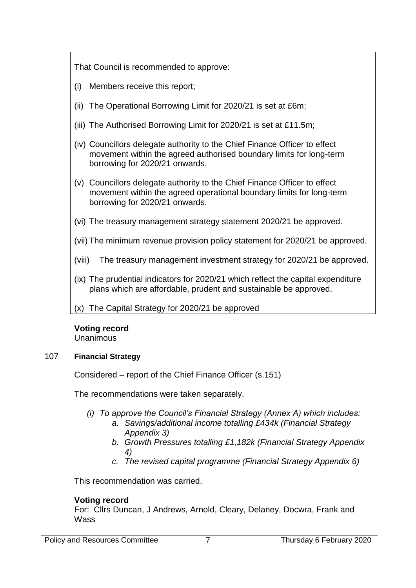That Council is recommended to approve:

- (i) Members receive this report;
- (ii) The Operational Borrowing Limit for 2020/21 is set at £6m;
- (iii) The Authorised Borrowing Limit for 2020/21 is set at £11.5m;
- (iv) Councillors delegate authority to the Chief Finance Officer to effect movement within the agreed authorised boundary limits for long-term borrowing for 2020/21 onwards.
- (v) Councillors delegate authority to the Chief Finance Officer to effect movement within the agreed operational boundary limits for long-term borrowing for 2020/21 onwards.
- (vi) The treasury management strategy statement 2020/21 be approved.
- (vii) The minimum revenue provision policy statement for 2020/21 be approved.
- (viii) The treasury management investment strategy for 2020/21 be approved.
- (ix) The prudential indicators for 2020/21 which reflect the capital expenditure plans which are affordable, prudent and sustainable be approved.
- (x) The Capital Strategy for 2020/21 be approved

# **Voting record**

Unanimous

# 107 **Financial Strategy**

Considered – report of the Chief Finance Officer (s.151)

The recommendations were taken separately.

- *(i) To approve the Council's Financial Strategy (Annex A) which includes:*
	- *a. Savings/additional income totalling £434k (Financial Strategy Appendix 3)*
		- *b. Growth Pressures totalling £1,182k (Financial Strategy Appendix 4)*
		- *c. The revised capital programme (Financial Strategy Appendix 6)*

This recommendation was carried.

# **Voting record**

For: Cllrs Duncan, J Andrews, Arnold, Cleary, Delaney, Docwra, Frank and **Wass**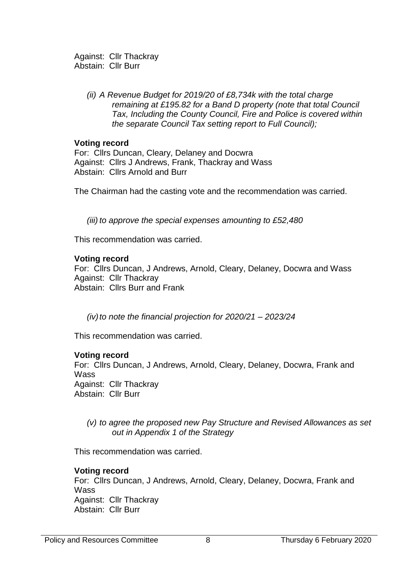Against: Cllr Thackray Abstain: Cllr Burr

> *(ii) A Revenue Budget for 2019/20 of £8,734k with the total charge remaining at £195.82 for a Band D property (note that total Council Tax, Including the County Council, Fire and Police is covered within the separate Council Tax setting report to Full Council);*

## **Voting record**

For: Cllrs Duncan, Cleary, Delaney and Docwra Against: Cllrs J Andrews, Frank, Thackray and Wass Abstain: Cllrs Arnold and Burr

The Chairman had the casting vote and the recommendation was carried.

*(iii) to approve the special expenses amounting to £52,480*

This recommendation was carried.

## **Voting record**

For: Cllrs Duncan, J Andrews, Arnold, Cleary, Delaney, Docwra and Wass Against: Cllr Thackray Abstain: Cllrs Burr and Frank

*(iv)to note the financial projection for 2020/21 – 2023/24*

This recommendation was carried.

## **Voting record**

For: Cllrs Duncan, J Andrews, Arnold, Cleary, Delaney, Docwra, Frank and **Wass** Against: Cllr Thackray Abstain: Cllr Burr

## *(v) to agree the proposed new Pay Structure and Revised Allowances as set out in Appendix 1 of the Strategy*

This recommendation was carried.

## **Voting record**

For: Cllrs Duncan, J Andrews, Arnold, Cleary, Delaney, Docwra, Frank and **Wass** Against: Cllr Thackray Abstain: Cllr Burr